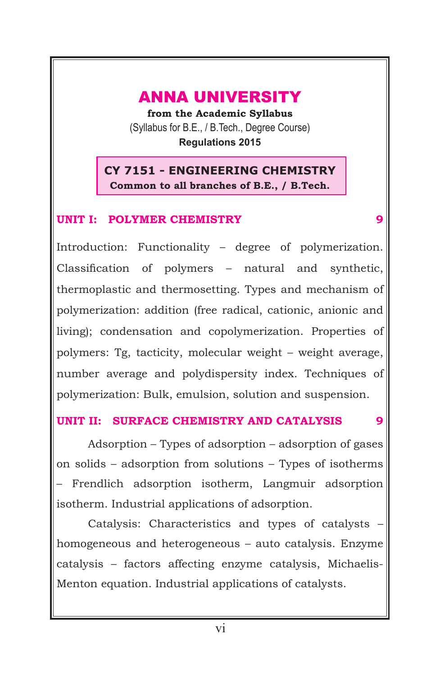### ANNA UNIVERSITY

**from the Academic Syllabus** (Syllabus for B.E., / B.Tech., Degree Course) **Regulations 2015**

**CY 7151 - ENGINEERING CHEMISTRY Common to all branches of B.E., / B.Tech.**

#### **UNIT I: POLYMER CHEMISTRY** 9

Introduction: Functionality – degree of polymerization. Classification of polymers – natural and synthetic, thermoplastic and thermosetting. Types and mechanism of polymerization: addition (free radical, cationic, anionic and living); condensation and copolymerization. Properties of polymers: Tg, tacticity, molecular weight – weight average, number average and polydispersity index. Techniques of polymerization: Bulk, emulsion, solution and suspension.

#### **UNIT II: SURFACE CHEMISTRY AND CATALYSIS 9**

Adsorption – Types of adsorption – adsorption of gases on solids – adsorption from solutions – Types of isotherms – Frendlich adsorption isotherm, Langmuir adsorption isotherm. Industrial applications of adsorption.

Catalysis: Characteristics and types of catalysts – homogeneous and heterogeneous – auto catalysis. Enzyme catalysis – factors affecting enzyme catalysis, Michaelis-Menton equation. Industrial applications of catalysts.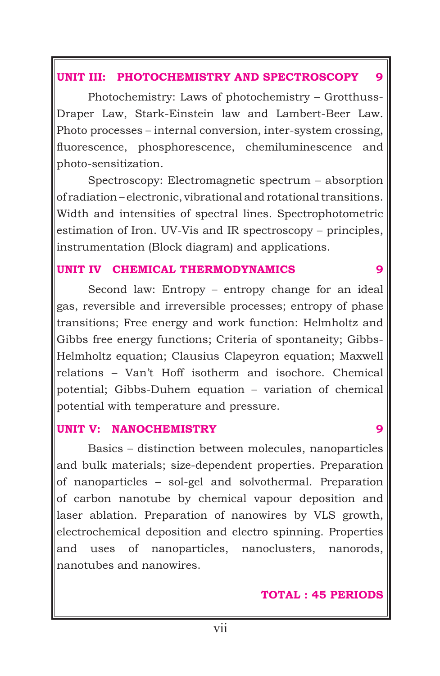#### **UNIT III: PHOTOCHEMISTRY AND SPECTROSCOPY 9**

Photochemistry: Laws of photochemistry – Grotthuss-Draper Law, Stark-Einstein law and Lambert-Beer Law. Photo processes – internal conversion, inter-system crossing, fluorescence, phosphorescence, chemiluminescence and photo-sensitization.

Spectroscopy: Electromagnetic spectrum – absorption of radiation – electronic, vibrational and rotational transitions. Width and intensities of spectral lines. Spectrophotometric estimation of Iron. UV-Vis and IR spectroscopy – principles, instrumentation (Block diagram) and applications.

#### **UNIT IV CHEMICAL THERMODYNAMICS 9**

Second law: Entropy – entropy change for an ideal gas, reversible and irreversible processes; entropy of phase transitions; Free energy and work function: Helmholtz and Gibbs free energy functions; Criteria of spontaneity; Gibbs-Helmholtz equation; Clausius Clapeyron equation; Maxwell relations – Van't Hoff isotherm and isochore. Chemical potential; Gibbs-Duhem equation – variation of chemical potential with temperature and pressure.

#### **UNIT V: NANOCHEMISTRY 9**

Basics – distinction between molecules, nanoparticles and bulk materials; size-dependent properties. Preparation of nanoparticles – sol-gel and solvothermal. Preparation of carbon nanotube by chemical vapour deposition and laser ablation. Preparation of nanowires by VLS growth, electrochemical deposition and electro spinning. Properties and uses of nanoparticles, nanoclusters, nanorods, nanotubes and nanowires.

#### **TOTAL : 45 PERIODS**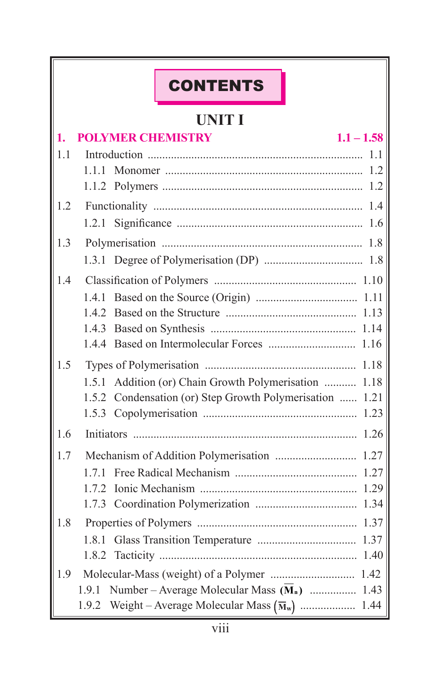| <b>CONTENTS</b>                                                                                                          |
|--------------------------------------------------------------------------------------------------------------------------|
|                                                                                                                          |
| <b>UNIT I</b>                                                                                                            |
| <b>POLYMER CHEMISTRY</b><br>$1.1 - 1.58$<br>1.                                                                           |
| 1.1<br>1.1                                                                                                               |
| 111<br>1.2                                                                                                               |
| 1.2<br>1.2                                                                                                               |
| 1.4<br>1.2.1<br>1.6                                                                                                      |
| 1.3<br>1.8                                                                                                               |
|                                                                                                                          |
| 14                                                                                                                       |
| 1.4.1                                                                                                                    |
|                                                                                                                          |
|                                                                                                                          |
| 1.16                                                                                                                     |
| 1.5<br>1.18                                                                                                              |
| Addition (or) Chain Growth Polymerisation<br>1.5.1<br>1.18<br>1.5.2 Condensation (or) Step Growth Polymerisation<br>1.21 |
|                                                                                                                          |
| 1.6<br>Initiators                                                                                                        |
| 1.7                                                                                                                      |
| 1.27<br>171                                                                                                              |
|                                                                                                                          |
|                                                                                                                          |
| 1.8                                                                                                                      |
| 1.37<br>1.8.1<br>1.40                                                                                                    |
| 1.9                                                                                                                      |
| Number – Average Molecular Mass $(\overline{M}_n)$ 1.43<br>1.9.1                                                         |
| 1.9.2                                                                                                                    |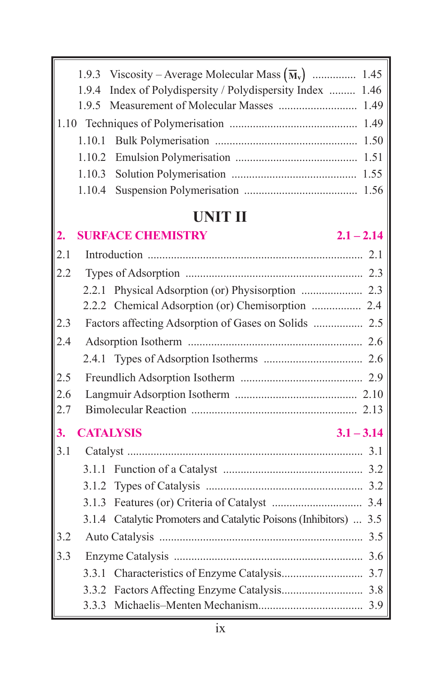|     | 1.9.3<br>1.9.4 | Viscosity – Average Molecular Mass $(\overline{M}_v)$ 1.45<br>Index of Polydispersity / Polydispersity Index<br>1.46 |
|-----|----------------|----------------------------------------------------------------------------------------------------------------------|
|     | 1.9.5          |                                                                                                                      |
|     |                |                                                                                                                      |
|     | 1.10.1         |                                                                                                                      |
|     | 1.10.2         |                                                                                                                      |
|     | 1.10.3         |                                                                                                                      |
|     | 1.10.4         |                                                                                                                      |
|     |                |                                                                                                                      |
|     |                | <b>UNIT II</b>                                                                                                       |
| 2.  |                | <b>SURFACE CHEMISTRY</b><br>$2.1 - 2.14$                                                                             |
| 2.1 |                |                                                                                                                      |
| 2.2 |                |                                                                                                                      |
|     |                |                                                                                                                      |
|     |                | 2.2.2 Chemical Adsorption (or) Chemisorption  2.4                                                                    |
| 2.3 |                |                                                                                                                      |
| 2.4 |                |                                                                                                                      |
|     | 2.4.1          |                                                                                                                      |
| 2.5 |                |                                                                                                                      |
| 2.6 |                |                                                                                                                      |
| 2.7 |                |                                                                                                                      |
| 3.  |                | <b>CATALYSIS</b><br>$3.1 - 3.14$                                                                                     |
| 3.1 |                |                                                                                                                      |
|     |                |                                                                                                                      |
|     | 3.1.2          |                                                                                                                      |
|     |                |                                                                                                                      |
|     |                | 3.1.4 Catalytic Promoters and Catalytic Poisons (Inhibitors)  3.5                                                    |
| 3.2 |                |                                                                                                                      |
| 3.3 |                |                                                                                                                      |
|     |                |                                                                                                                      |
|     | 3.3.2          |                                                                                                                      |
|     |                |                                                                                                                      |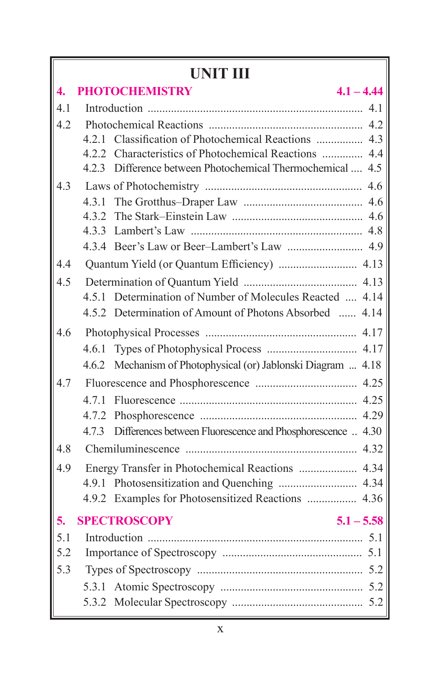# **UNIT III**

| $\overline{4}$ . | <b>PHOTOCHEMISTRY</b><br>$4.1 - 4.44$                             |
|------------------|-------------------------------------------------------------------|
| 4.1              |                                                                   |
| 4.2              |                                                                   |
|                  | 421                                                               |
|                  | 4.2.2 Characteristics of Photochemical Reactions  4.4             |
|                  | 4.2.3 Difference between Photochemical Thermochemical  4.5        |
| 43               |                                                                   |
|                  | 4.3.1                                                             |
|                  | 432                                                               |
|                  |                                                                   |
|                  |                                                                   |
| 4.4              |                                                                   |
| 4.5              |                                                                   |
|                  | 4.5.1 Determination of Number of Molecules Reacted  4.14          |
|                  | 4.5.2 Determination of Amount of Photons Absorbed<br>4.14         |
| 4.6              |                                                                   |
|                  |                                                                   |
|                  | 4.6.2 Mechanism of Photophysical (or) Jablonski Diagram  4.18     |
| 4.7              |                                                                   |
|                  | 4.25                                                              |
|                  | 4.29<br>4.7.2                                                     |
|                  | Differences between Fluorescence and Phosphorescence  4.30<br>473 |
| 4.8              |                                                                   |
| 4.9              | Energy Transfer in Photochemical Reactions  4.34                  |
|                  |                                                                   |
|                  | 4.9.2 Examples for Photosensitized Reactions  4.36                |
| 5.               | <b>SPECTROSCOPY</b><br>$5.1 - 5.58$                               |
| 5.1              |                                                                   |
| 5.2              |                                                                   |
| 5.3              |                                                                   |
|                  |                                                                   |
|                  |                                                                   |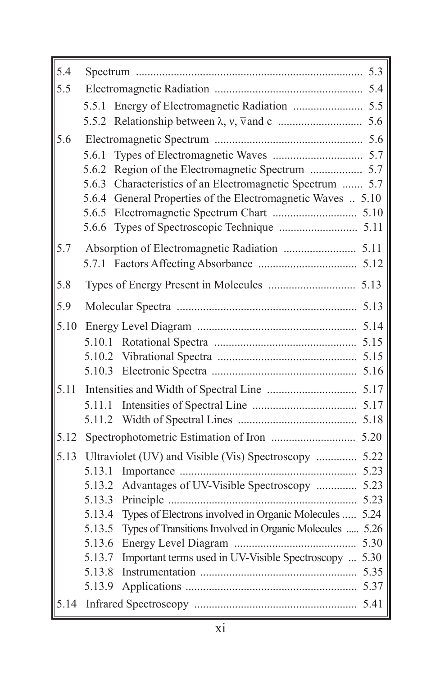| 5.4  |                                                                         |  |
|------|-------------------------------------------------------------------------|--|
| 5.5  |                                                                         |  |
|      | 5.5.1                                                                   |  |
|      |                                                                         |  |
| 5.6  |                                                                         |  |
|      | 5.6.1                                                                   |  |
|      | 5.6.2                                                                   |  |
|      | Characteristics of an Electromagnetic Spectrum  5.7<br>5.6.3            |  |
|      | General Properties of the Electromagnetic Waves  5.10<br>5.6.4<br>5.6.5 |  |
|      | 5.6.6                                                                   |  |
| 5.7  |                                                                         |  |
|      |                                                                         |  |
|      |                                                                         |  |
| 5.8  |                                                                         |  |
| 5.9  |                                                                         |  |
| 5.10 |                                                                         |  |
|      |                                                                         |  |
|      |                                                                         |  |
|      |                                                                         |  |
| 5.11 |                                                                         |  |
|      | 5.11.1                                                                  |  |
|      | 5.11.2                                                                  |  |
| 5.12 |                                                                         |  |
| 5.13 | Ultraviolet (UV) and Visible (Vis) Spectroscopy  5.22                   |  |
|      | 5.13.1<br>Advantages of UV-Visible Spectroscopy  5.23<br>5.13.2         |  |
|      | 5.13.3                                                                  |  |
|      | Types of Electrons involved in Organic Molecules  5.24<br>5.13.4        |  |
|      | Types of Transitions Involved in Organic Molecules  5.26<br>5.13.5      |  |
|      | 5.13.6                                                                  |  |
|      | Important terms used in UV-Visible Spectroscopy  5.30<br>5.13.7         |  |
|      | 5.13.8                                                                  |  |
|      | 5.13.9                                                                  |  |
|      |                                                                         |  |